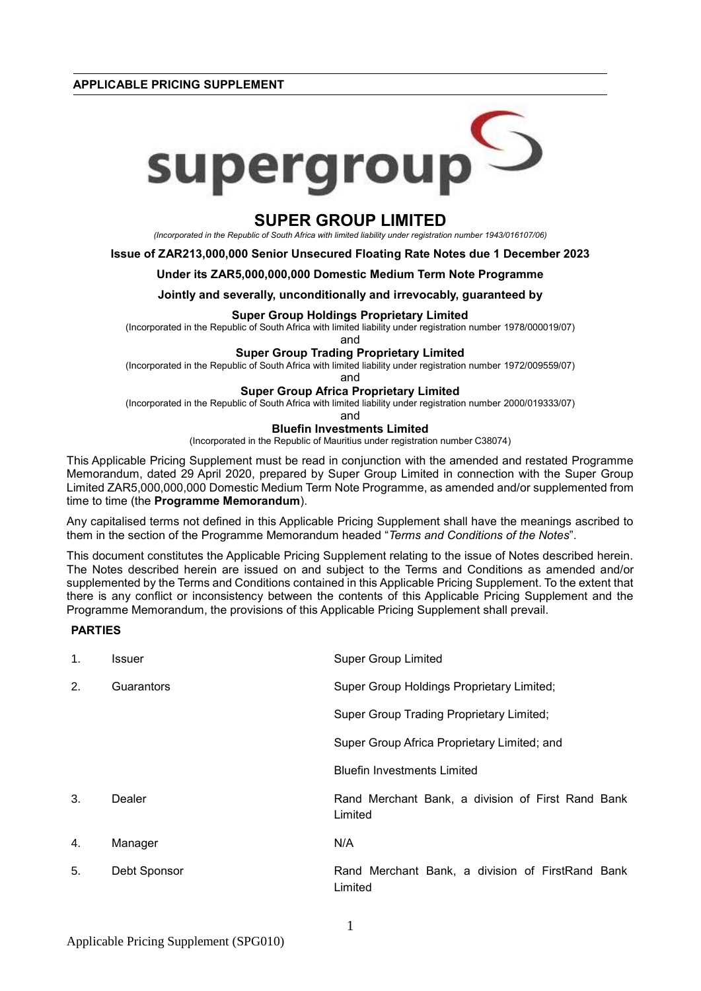**APPLICABLE PRICING SUPPLEMENT**



# **SUPER GROUP LIMITED**

*(Incorporated in the Republic of South Africa with limited liability under registration number 1943/016107/06)*

### **Issue of ZAR213,000,000 Senior Unsecured Floating Rate Notes due 1 December 2023**

### **Under its ZAR5,000,000,000 Domestic Medium Term Note Programme**

**Jointly and severally, unconditionally and irrevocably, guaranteed by**

# **Super Group Holdings Proprietary Limited**

(Incorporated in the Republic of South Africa with limited liability under registration number 1978/000019/07)

and

## **Super Group Trading Proprietary Limited**

(Incorporated in the Republic of South Africa with limited liability under registration number 1972/009559/07)

and

### **Super Group Africa Proprietary Limited**

(Incorporated in the Republic of South Africa with limited liability under registration number 2000/019333/07)

and

# **Bluefin Investments Limited**

(Incorporated in the Republic of Mauritius under registration number C38074)

This Applicable Pricing Supplement must be read in conjunction with the amended and restated Programme Memorandum, dated 29 April 2020, prepared by Super Group Limited in connection with the Super Group Limited ZAR5,000,000,000 Domestic Medium Term Note Programme, as amended and/or supplemented from time to time (the **Programme Memorandum**).

Any capitalised terms not defined in this Applicable Pricing Supplement shall have the meanings ascribed to them in the section of the Programme Memorandum headed "*Terms and Conditions of the Notes*".

This document constitutes the Applicable Pricing Supplement relating to the issue of Notes described herein. The Notes described herein are issued on and subject to the Terms and Conditions as amended and/or supplemented by the Terms and Conditions contained in this Applicable Pricing Supplement. To the extent that there is any conflict or inconsistency between the contents of this Applicable Pricing Supplement and the Programme Memorandum, the provisions of this Applicable Pricing Supplement shall prevail.

# **PARTIES**

| 1. | <b>Issuer</b> | <b>Super Group Limited</b>                                   |  |
|----|---------------|--------------------------------------------------------------|--|
| 2. | Guarantors    | Super Group Holdings Proprietary Limited;                    |  |
|    |               | Super Group Trading Proprietary Limited;                     |  |
|    |               | Super Group Africa Proprietary Limited; and                  |  |
|    |               | <b>Bluefin Investments Limited</b>                           |  |
| 3. | Dealer        | Rand Merchant Bank, a division of First Rand Bank<br>Limited |  |
| 4. | Manager       | N/A                                                          |  |
| 5. | Debt Sponsor  | Rand Merchant Bank, a division of FirstRand Bank<br>Limited  |  |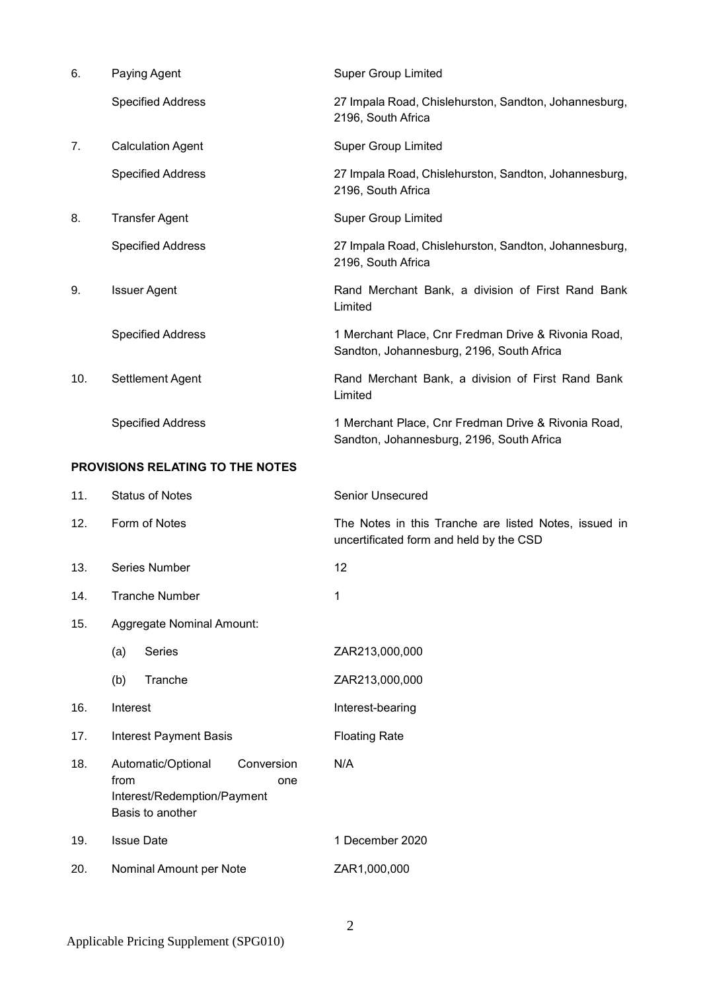| 6.                                      | Paying Agent             | <b>Super Group Limited</b>                                                                       |  |
|-----------------------------------------|--------------------------|--------------------------------------------------------------------------------------------------|--|
|                                         | <b>Specified Address</b> | 27 Impala Road, Chislehurston, Sandton, Johannesburg,<br>2196, South Africa                      |  |
| 7.                                      | <b>Calculation Agent</b> | <b>Super Group Limited</b>                                                                       |  |
|                                         | <b>Specified Address</b> | 27 Impala Road, Chislehurston, Sandton, Johannesburg,<br>2196, South Africa                      |  |
| 8.                                      | <b>Transfer Agent</b>    | <b>Super Group Limited</b>                                                                       |  |
|                                         | <b>Specified Address</b> | 27 Impala Road, Chislehurston, Sandton, Johannesburg,<br>2196, South Africa                      |  |
| 9.                                      | <b>Issuer Agent</b>      | Rand Merchant Bank, a division of First Rand Bank<br>Limited                                     |  |
|                                         | <b>Specified Address</b> | 1 Merchant Place, Cnr Fredman Drive & Rivonia Road,<br>Sandton, Johannesburg, 2196, South Africa |  |
| 10.                                     | Settlement Agent         | Rand Merchant Bank, a division of First Rand Bank<br>Limited                                     |  |
|                                         | <b>Specified Address</b> | 1 Merchant Place, Cnr Fredman Drive & Rivonia Road,<br>Sandton, Johannesburg, 2196, South Africa |  |
| <b>PROVISIONS RELATING TO THE NOTES</b> |                          |                                                                                                  |  |

| 11. | <b>Status of Notes</b>                                                                             | Senior Unsecured                                                                                 |  |  |
|-----|----------------------------------------------------------------------------------------------------|--------------------------------------------------------------------------------------------------|--|--|
| 12. | Form of Notes                                                                                      | The Notes in this Tranche are listed Notes, issued in<br>uncertificated form and held by the CSD |  |  |
| 13. | Series Number                                                                                      | 12                                                                                               |  |  |
| 14. | <b>Tranche Number</b>                                                                              | 1                                                                                                |  |  |
| 15. | Aggregate Nominal Amount:                                                                          |                                                                                                  |  |  |
|     | Series<br>(a)                                                                                      | ZAR213,000,000                                                                                   |  |  |
|     | Tranche<br>(b)                                                                                     | ZAR213,000,000                                                                                   |  |  |
| 16. | Interest                                                                                           | Interest-bearing                                                                                 |  |  |
| 17. | <b>Interest Payment Basis</b>                                                                      | <b>Floating Rate</b>                                                                             |  |  |
| 18. | Automatic/Optional<br>Conversion<br>from<br>one<br>Interest/Redemption/Payment<br>Basis to another | N/A                                                                                              |  |  |
| 19. | <b>Issue Date</b>                                                                                  | 1 December 2020                                                                                  |  |  |
| 20. | Nominal Amount per Note                                                                            | ZAR1,000,000                                                                                     |  |  |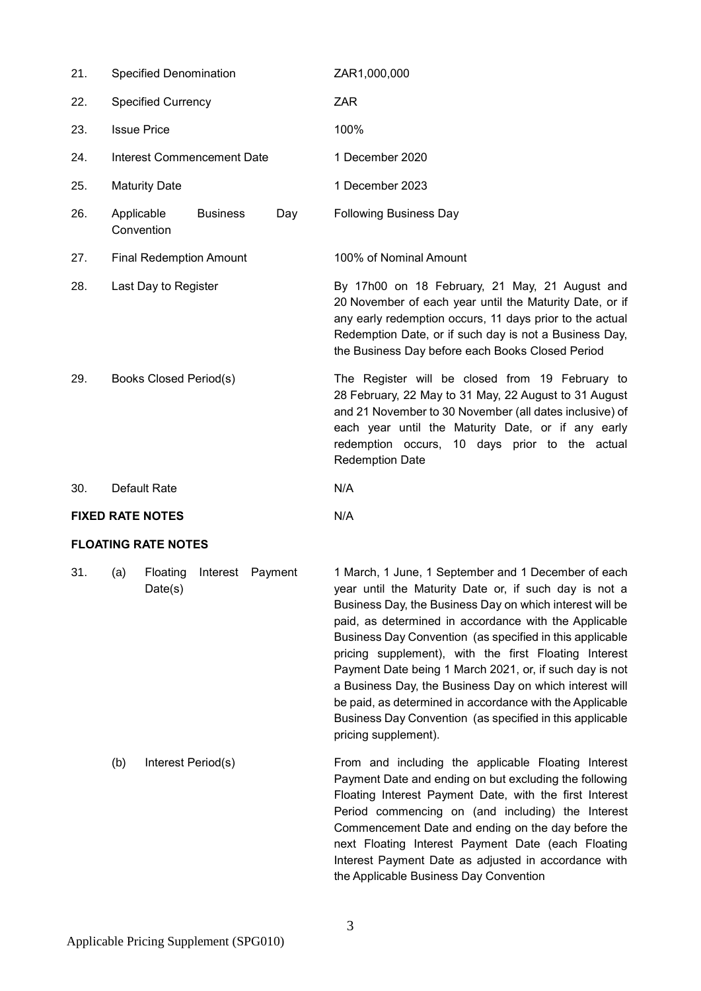| 21.                     | <b>Specified Denomination</b>               |     | ZAR1,000,000                                                                                                                                                                                                                                                                                          |  |  |
|-------------------------|---------------------------------------------|-----|-------------------------------------------------------------------------------------------------------------------------------------------------------------------------------------------------------------------------------------------------------------------------------------------------------|--|--|
| 22.                     | <b>Specified Currency</b>                   |     | <b>ZAR</b>                                                                                                                                                                                                                                                                                            |  |  |
| 23.                     | <b>Issue Price</b>                          |     | 100%                                                                                                                                                                                                                                                                                                  |  |  |
| 24.                     | Interest Commencement Date                  |     | 1 December 2020                                                                                                                                                                                                                                                                                       |  |  |
| 25.                     | <b>Maturity Date</b>                        |     | 1 December 2023                                                                                                                                                                                                                                                                                       |  |  |
| 26.                     | Applicable<br><b>Business</b><br>Convention | Day | <b>Following Business Day</b>                                                                                                                                                                                                                                                                         |  |  |
| 27.                     | <b>Final Redemption Amount</b>              |     | 100% of Nominal Amount                                                                                                                                                                                                                                                                                |  |  |
| 28.                     | Last Day to Register                        |     | By 17h00 on 18 February, 21 May, 21 August and<br>20 November of each year until the Maturity Date, or if<br>any early redemption occurs, 11 days prior to the actual<br>Redemption Date, or if such day is not a Business Day,<br>the Business Day before each Books Closed Period                   |  |  |
| 29.                     | <b>Books Closed Period(s)</b>               |     | The Register will be closed from 19 February to<br>28 February, 22 May to 31 May, 22 August to 31 August<br>and 21 November to 30 November (all dates inclusive) of<br>each year until the Maturity Date, or if any early<br>redemption occurs, 10 days prior to the actual<br><b>Redemption Date</b> |  |  |
| 30.                     | Default Rate                                |     | N/A                                                                                                                                                                                                                                                                                                   |  |  |
| <b>FIXED RATE NOTES</b> |                                             |     | N/A                                                                                                                                                                                                                                                                                                   |  |  |

# **FLOATING RATE NOTES**

31. (a) Floating Interest Payment Date(s)

1 March, 1 June, 1 September and 1 December of each year until the Maturity Date or, if such day is not a Business Day, the Business Day on which interest will be paid, as determined in accordance with the Applicable Business Day Convention (as specified in this applicable pricing supplement), with the first Floating Interest Payment Date being 1 March 2021, or, if such day is not a Business Day, the Business Day on which interest will be paid, as determined in accordance with the Applicable Business Day Convention (as specified in this applicable pricing supplement).

(b) Interest Period(s) From and including the applicable Floating Interest Payment Date and ending on but excluding the following Floating Interest Payment Date, with the first Interest Period commencing on (and including) the Interest Commencement Date and ending on the day before the next Floating Interest Payment Date (each Floating Interest Payment Date as adjusted in accordance with the Applicable Business Day Convention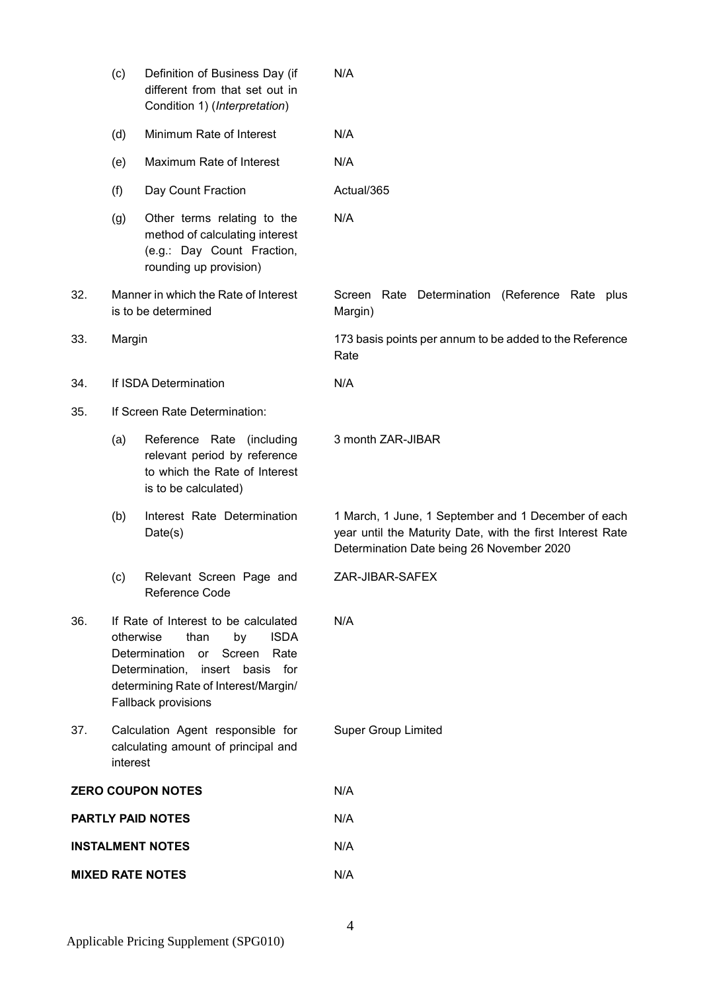|                          | (c)                                                                                                                                                                                                                              | Definition of Business Day (if<br>different from that set out in<br>Condition 1) (Interpretation)                     | N/A                                                                                                                                                            |  |  |  |
|--------------------------|----------------------------------------------------------------------------------------------------------------------------------------------------------------------------------------------------------------------------------|-----------------------------------------------------------------------------------------------------------------------|----------------------------------------------------------------------------------------------------------------------------------------------------------------|--|--|--|
|                          | (d)                                                                                                                                                                                                                              | Minimum Rate of Interest                                                                                              | N/A                                                                                                                                                            |  |  |  |
|                          | (e)                                                                                                                                                                                                                              | Maximum Rate of Interest                                                                                              | N/A                                                                                                                                                            |  |  |  |
|                          | (f)                                                                                                                                                                                                                              | Day Count Fraction                                                                                                    | Actual/365                                                                                                                                                     |  |  |  |
|                          | (g)                                                                                                                                                                                                                              | Other terms relating to the<br>method of calculating interest<br>(e.g.: Day Count Fraction,<br>rounding up provision) | N/A                                                                                                                                                            |  |  |  |
| 32.                      | Manner in which the Rate of Interest<br>is to be determined<br>Margin)                                                                                                                                                           |                                                                                                                       | Screen Rate Determination (Reference Rate plus                                                                                                                 |  |  |  |
| 33.                      | Margin                                                                                                                                                                                                                           |                                                                                                                       | 173 basis points per annum to be added to the Reference<br>Rate                                                                                                |  |  |  |
| 34.                      | If ISDA Determination                                                                                                                                                                                                            |                                                                                                                       | N/A                                                                                                                                                            |  |  |  |
| 35.                      |                                                                                                                                                                                                                                  | If Screen Rate Determination:                                                                                         |                                                                                                                                                                |  |  |  |
|                          | (a)                                                                                                                                                                                                                              | Reference Rate (including<br>relevant period by reference<br>to which the Rate of Interest<br>is to be calculated)    | 3 month ZAR-JIBAR                                                                                                                                              |  |  |  |
|                          | (b)                                                                                                                                                                                                                              | Interest Rate Determination<br>Date(s)                                                                                | 1 March, 1 June, 1 September and 1 December of each<br>year until the Maturity Date, with the first Interest Rate<br>Determination Date being 26 November 2020 |  |  |  |
|                          | (c)                                                                                                                                                                                                                              | Relevant Screen Page and<br>Reference Code                                                                            | ZAR-JIBAR-SAFEX                                                                                                                                                |  |  |  |
| 36.                      | If Rate of Interest to be calculated<br><b>ISDA</b><br>otherwise<br>than<br>by<br><b>Determination</b><br>Screen<br>Rate<br>or<br>Determination, insert basis for<br>determining Rate of Interest/Margin/<br>Fallback provisions |                                                                                                                       | N/A                                                                                                                                                            |  |  |  |
| 37.                      | Calculation Agent responsible for<br>calculating amount of principal and<br>interest                                                                                                                                             |                                                                                                                       | <b>Super Group Limited</b>                                                                                                                                     |  |  |  |
| <b>ZERO COUPON NOTES</b> |                                                                                                                                                                                                                                  |                                                                                                                       | N/A                                                                                                                                                            |  |  |  |
| <b>PARTLY PAID NOTES</b> |                                                                                                                                                                                                                                  |                                                                                                                       | N/A                                                                                                                                                            |  |  |  |
| <b>INSTALMENT NOTES</b>  |                                                                                                                                                                                                                                  |                                                                                                                       | N/A                                                                                                                                                            |  |  |  |
| <b>MIXED RATE NOTES</b>  |                                                                                                                                                                                                                                  |                                                                                                                       | N/A                                                                                                                                                            |  |  |  |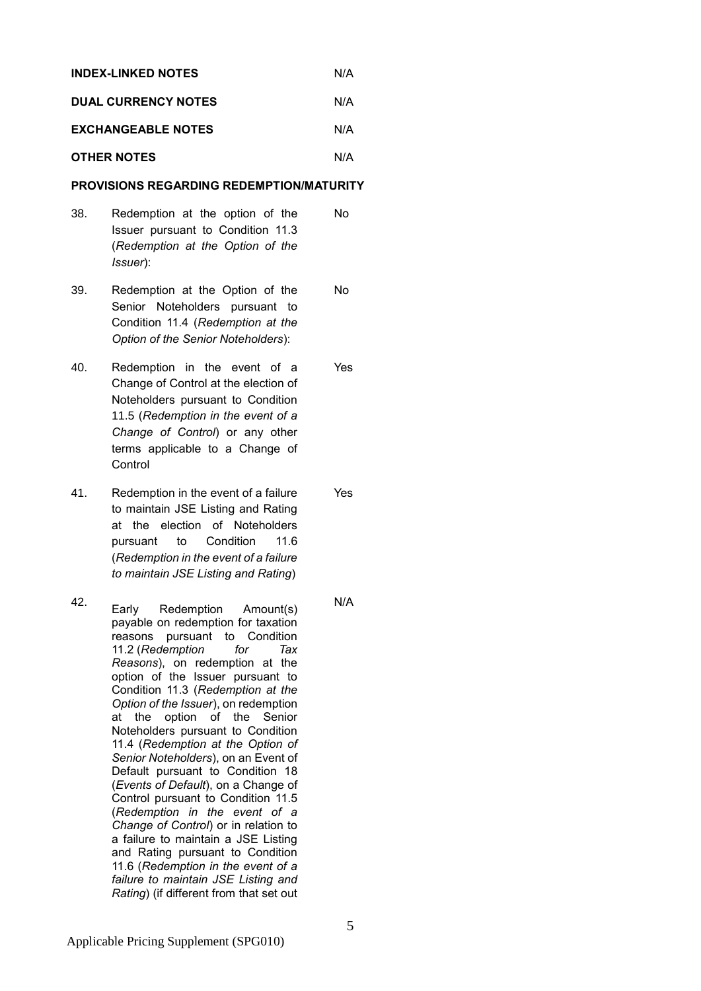| <b>INDEX-LINKED NOTES</b>  | N/A |
|----------------------------|-----|
| <b>DUAL CURRENCY NOTES</b> | N/A |

# **EXCHANGEABLE NOTES** N/A

# **OTHER NOTES** N/A

# **PROVISIONS REGARDING REDEMPTION/MATURITY**

- 38. Redemption at the option of the Issuer pursuant to Condition 11.3 (*Redemption at the Option of the Issuer*): No
- 39. Redemption at the Option of the Senior Noteholders pursuant to Condition 11.4 (*Redemption at the Option of the Senior Noteholders*): No
- 40. Redemption in the event of a Change of Control at the election of Noteholders pursuant to Condition 11.5 (*Redemption in the event of a Change of Control*) or any other terms applicable to a Change of **Control** Yes
- 41. Redemption in the event of a failure to maintain JSE Listing and Rating at the election of Noteholders pursuant to Condition 11.6 (*Redemption in the event of a failure to maintain JSE Listing and Rating*)
- 42. Early Redemption Amount(s) payable on redemption for taxation reasons pursuant to Condition 11.2 (*Redemption for Tax Reasons*), on redemption at the option of the Issuer pursuant to Condition 11.3 (*Redemption at the Option of the Issuer*), on redemption at the option of the Senior Noteholders pursuant to Condition 11.4 (*Redemption at the Option of Senior Noteholders*), on an Event of Default pursuant to Condition 18 (*Events of Default*), on a Change of Control pursuant to Condition 11.5 (*Redemption in the event of a Change of Control*) or in relation to a failure to maintain a JSE Listing and Rating pursuant to Condition 11.6 (*Redemption in the event of a failure to maintain JSE Listing and Rating*) (if different from that set out
- N/A

Yes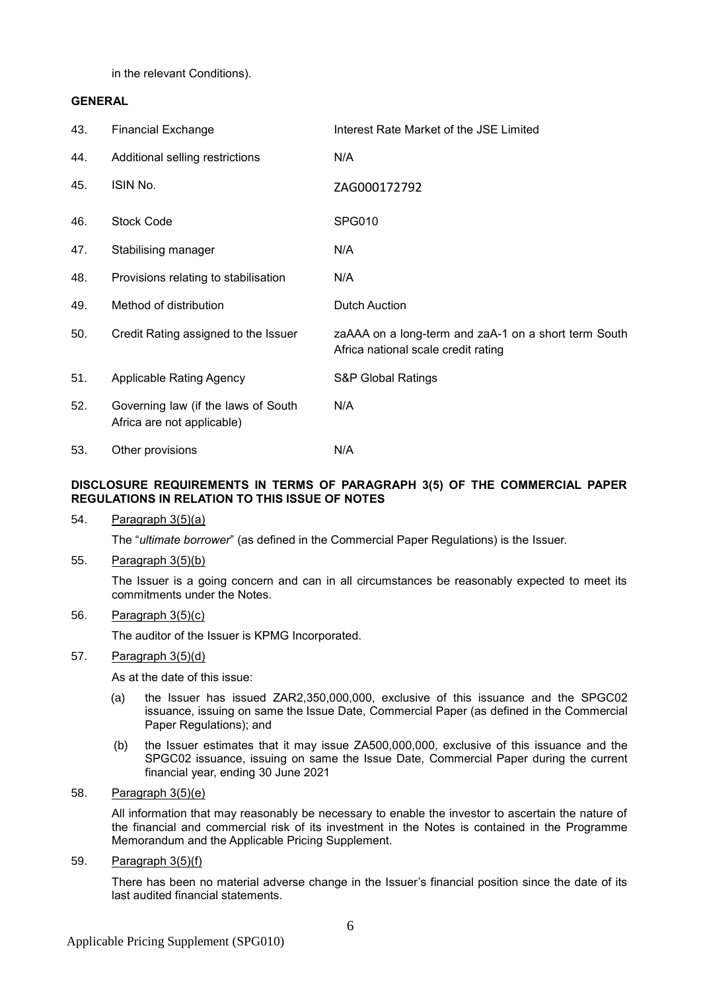in the relevant Conditions).

# **GENERAL**

| 43. | <b>Financial Exchange</b>                                         | Interest Rate Market of the JSE Limited                                                     |
|-----|-------------------------------------------------------------------|---------------------------------------------------------------------------------------------|
| 44. | Additional selling restrictions                                   | N/A                                                                                         |
| 45. | ISIN No.                                                          | ZAG000172792                                                                                |
| 46. | <b>Stock Code</b>                                                 | <b>SPG010</b>                                                                               |
| 47. | Stabilising manager                                               | N/A                                                                                         |
| 48. | Provisions relating to stabilisation                              | N/A                                                                                         |
| 49. | Method of distribution                                            | <b>Dutch Auction</b>                                                                        |
| 50. | Credit Rating assigned to the Issuer                              | zaAAA on a long-term and zaA-1 on a short term South<br>Africa national scale credit rating |
| 51. | Applicable Rating Agency                                          | <b>S&amp;P Global Ratings</b>                                                               |
| 52. | Governing law (if the laws of South<br>Africa are not applicable) | N/A                                                                                         |
| 53. | Other provisions                                                  | N/A                                                                                         |

# **DISCLOSURE REQUIREMENTS IN TERMS OF PARAGRAPH 3(5) OF THE COMMERCIAL PAPER REGULATIONS IN RELATION TO THIS ISSUE OF NOTES**

54. Paragraph 3(5)(a)

The "*ultimate borrower*" (as defined in the Commercial Paper Regulations) is the Issuer.

55. Paragraph 3(5)(b)

The Issuer is a going concern and can in all circumstances be reasonably expected to meet its commitments under the Notes.

# 56. Paragraph 3(5)(c)

The auditor of the Issuer is KPMG Incorporated.

# 57. Paragraph 3(5)(d)

As at the date of this issue:

- (a) the Issuer has issued ZAR2,350,000,000, exclusive of this issuance and the SPGC02 issuance, issuing on same the Issue Date, Commercial Paper (as defined in the Commercial Paper Regulations); and
- (b) the Issuer estimates that it may issue ZA500,000,000, exclusive of this issuance and the SPGC02 issuance, issuing on same the Issue Date, Commercial Paper during the current financial year, ending 30 June 2021
- 58. Paragraph 3(5)(e)

All information that may reasonably be necessary to enable the investor to ascertain the nature of the financial and commercial risk of its investment in the Notes is contained in the Programme Memorandum and the Applicable Pricing Supplement.

59. Paragraph 3(5)(f)

There has been no material adverse change in the Issuer's financial position since the date of its last audited financial statements.